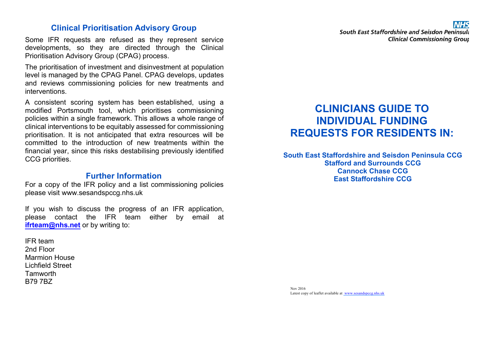#### **Clinical Prioritisation Advisory Group**

Some IFR requests are refused as they represent service developments, so they are directed through the Clinical Prioritisation Advisory Group (CPAG) process.

The prioritisation of investment and disinvestment at population level is managed by the CPAG Panel. CPAG develops, updates and reviews commissioning policies for new treatments and interventions.

A consistent scoring system has been established, using a modified Portsmouth tool, which prioritises commissioning policies within a single framework. This allows a whole range of clinical interventions to be equitably assessed for commissioning prioritisation. It is not anticipated that extra resources will be committed to the introduction of new treatments within the financial year, since this risks destabilising previously identified CCG priorities.

#### **Further Information**

For a copy of the IFR policy and a list commissioning policies please visit www.sesandspccg.nhs.uk

If you wish to discuss the progress of an IFR application, please contact the IFR team either by email at **ifrteam@nhs.net** or by writing to:

IFR team 2nd Floor Marmion House Lichfield Street Tamworth B79 7BZ

South East Staffordshire and Seisdon Peninsula **Clinical Commissioning Group** 

# **CLINICIANS GUIDE TO INDIVIDUAL FUNDING REQUESTS FOR RESIDENTS IN:**

**South East Staffordshire and Seisdon Peninsula CCG Stafford and Surrounds CCG Cannock Chase CCG East Staffordshire CCG**

Nov 2016 Latest copy of leaflet available at www.sesandspccg.nhs.uk